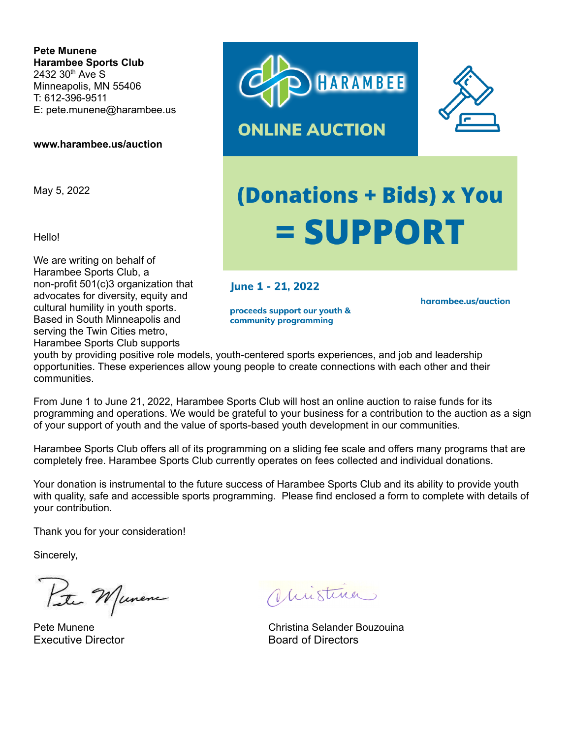**Pete Munene Harambee Sports Club** 2432 30<sup>th</sup> Ave S Minneapolis, MN 55406 T: 612-396-9511 E: pete.munene@harambee.us

**www.harambee.us/auction**

May 5, 2022

Hello!

We are writing on behalf of Harambee Sports Club, a non-profit 501(c)3 organization that advocates for diversity, equity and cultural humility in youth sports. Based in South Minneapolis and serving the Twin Cities metro, Harambee Sports Club supports





## **(Donations + Bids) x You = SUPPORT**

June 1 - 21, 2022

proceeds support our youth & community programming

harambee.us/auction

youth by providing positive role models, youth-centered sports experiences, and job and leadership opportunities. These experiences allow young people to create connections with each other and their communities.

From June 1 to June 21, 2022, Harambee Sports Club will host an online auction to raise funds for its programming and operations. We would be grateful to your business for a contribution to the auction as a sign of your support of youth and the value of sports-based youth development in our communities.

Harambee Sports Club offers all of its programming on a sliding fee scale and offers many programs that are completely free. Harambee Sports Club currently operates on fees collected and individual donations.

Your donation is instrumental to the future success of Harambee Sports Club and its ability to provide youth with quality, safe and accessible sports programming. Please find enclosed a form to complete with details of your contribution.

Thank you for your consideration!

Sincerely,

Peter Munene

Executive Director **Board of Directors** 

Vistina

Pete Munene Christina Selander Bouzouina